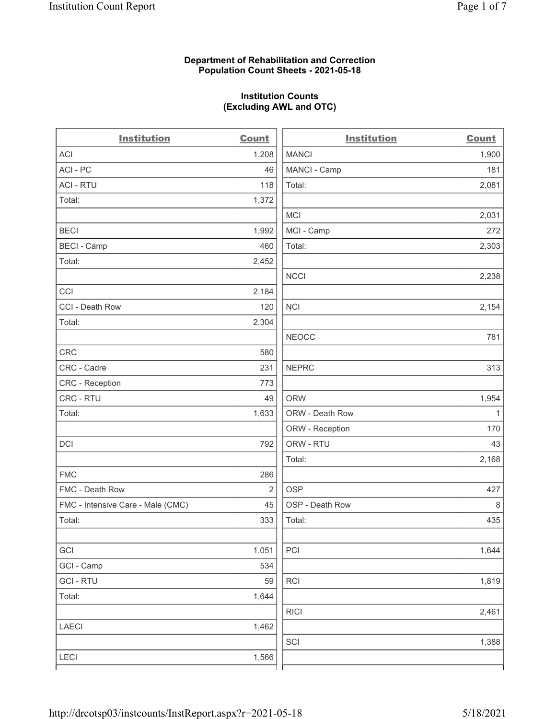## Department of Rehabilitation and Correction Population Count Sheets - 2021-05-18

## Institution Counts (Excluding AWL and OTC)

. .

| <b>Institution</b>                | <b>Count</b> | <b>Institution</b> | <b>Count</b> |
|-----------------------------------|--------------|--------------------|--------------|
| ACI                               | 1,208        | <b>MANCI</b>       | 1,900        |
| ACI-PC                            | 46           | MANCI - Camp       | 181          |
| <b>ACI - RTU</b>                  | 118          | Total:             | 2,081        |
| Total:                            | 1,372        |                    |              |
|                                   |              | MCI                | 2,031        |
| <b>BECI</b>                       | 1,992        | MCI - Camp         | 272          |
| <b>BECI - Camp</b>                | 460          | Total:             | 2,303        |
| Total:                            | 2,452        |                    |              |
|                                   |              | <b>NCCI</b>        | 2,238        |
| CCI                               | 2,184        |                    |              |
| CCI - Death Row                   | 120          | <b>NCI</b>         | 2,154        |
| Total:                            | 2,304        |                    |              |
|                                   |              | <b>NEOCC</b>       | 781          |
| CRC                               | 580          |                    |              |
| CRC - Cadre                       | 231          | <b>NEPRC</b>       | 313          |
| <b>CRC</b> - Reception            | 773          |                    |              |
| CRC - RTU                         | 49           | <b>ORW</b>         | 1,954        |
| Total:                            | 1,633        | ORW - Death Row    | $\mathbf{1}$ |
|                                   |              | ORW - Reception    | 170          |
| DCI                               | 792          | ORW - RTU          | 43           |
|                                   |              | Total:             | 2,168        |
| <b>FMC</b>                        | 286          |                    |              |
| FMC - Death Row                   | $\sqrt{2}$   | <b>OSP</b>         | 427          |
| FMC - Intensive Care - Male (CMC) | 45           | OSP - Death Row    | 8            |
| Total:                            | 333          | Total:             | 435          |
|                                   |              |                    |              |
| GCI                               | 1,051        | PCI                | 1,644        |
| GCI - Camp                        | 534          |                    |              |
| <b>GCI-RTU</b>                    | 59           | <b>RCI</b>         | 1,819        |
| Total:                            | 1,644        |                    |              |
|                                   |              | <b>RICI</b>        | 2,461        |
| <b>LAECI</b>                      | 1,462        |                    |              |
|                                   |              | SCI                | 1,388        |
| <b>LECI</b>                       | 1,566        |                    |              |
|                                   |              |                    |              |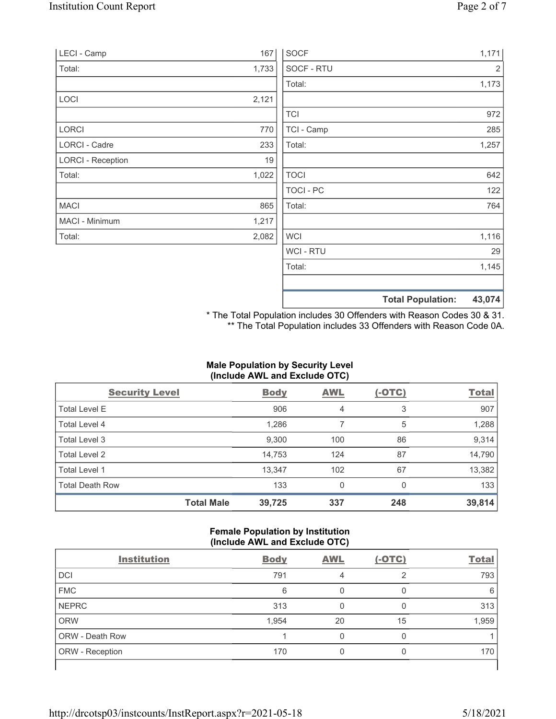| LECI - Camp              | 167   | <b>SOCF</b>    |                          | 1,171  |
|--------------------------|-------|----------------|--------------------------|--------|
| Total:                   | 1,733 | SOCF - RTU     |                          | 2      |
|                          |       | Total:         |                          | 1,173  |
| LOCI                     | 2,121 |                |                          |        |
|                          |       | <b>TCI</b>     |                          | 972    |
| <b>LORCI</b>             | 770   | TCI - Camp     |                          | 285    |
| LORCI - Cadre            | 233   | Total:         |                          | 1,257  |
| <b>LORCI - Reception</b> | 19    |                |                          |        |
| Total:                   | 1,022 | <b>TOCI</b>    |                          | 642    |
|                          |       | TOCI - PC      |                          | 122    |
| <b>MACI</b>              | 865   | Total:         |                          | 764    |
| MACI - Minimum           | 1,217 |                |                          |        |
| Total:                   | 2,082 | <b>WCI</b>     |                          | 1,116  |
|                          |       | <b>WCI-RTU</b> |                          | 29     |
|                          |       | Total:         |                          | 1,145  |
|                          |       |                | <b>Total Population:</b> | 43,074 |

\* The Total Population includes 30 Offenders with Reason Codes 30 & 31. \*\* The Total Population includes 33 Offenders with Reason Code 0A.

# Male Population by Security Level (Include AWL and Exclude OTC)

| <b>Security Level</b>  |                   | <b>Body</b> | <b>AWL</b> | $(-OTC)$ | <b>Total</b> |
|------------------------|-------------------|-------------|------------|----------|--------------|
| <b>Total Level E</b>   |                   | 906         | 4          | 3        | 907          |
| Total Level 4          |                   | 1,286       |            | 5        | 1,288        |
| Total Level 3          |                   | 9,300       | 100        | 86       | 9,314        |
| Total Level 2          |                   | 14,753      | 124        | 87       | 14,790       |
| Total Level 1          |                   | 13,347      | 102        | 67       | 13,382       |
| <b>Total Death Row</b> |                   | 133         | 0          | 0        | 133          |
|                        | <b>Total Male</b> | 39,725      | 337        | 248      | 39,814       |

## Female Population by Institution (Include AWL and Exclude OTC)

| <b>Institution</b>     | <b>Body</b> | <b>AWL</b> | $(-OTC)$ | <b>Total</b> |
|------------------------|-------------|------------|----------|--------------|
| <b>DCI</b>             | 791         | 4          | っ        | 793          |
| <b>FMC</b>             | 6           |            |          | 6            |
| <b>NEPRC</b>           | 313         |            |          | 313          |
| <b>ORW</b>             | 1,954       | 20         | 15       | 1,959        |
| <b>ORW - Death Row</b> |             |            |          |              |
| ORW - Reception        | 170         |            |          | 170          |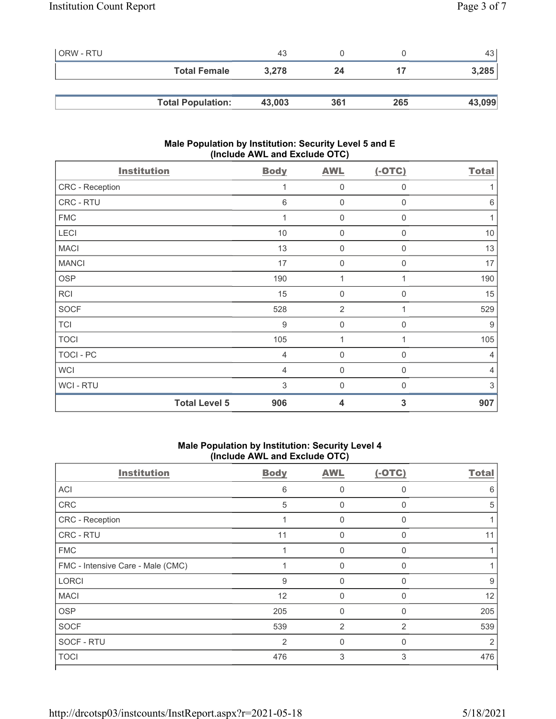| ORW - RTU |                          | 43     |     |     | 43 <sup>1</sup> |
|-----------|--------------------------|--------|-----|-----|-----------------|
|           | <b>Total Female</b>      | 3,278  | 24  |     | 3,285           |
|           |                          |        |     |     |                 |
|           | <b>Total Population:</b> | 43,003 | 361 | 265 | 43,099          |

### Male Population by Institution: Security Level 5 and E (Include AWL and Exclude OTC)

| <b>Institution</b>   | <b>Body</b>    | <b>AWL</b>          | $(-OTC)$     | <b>Total</b>   |
|----------------------|----------------|---------------------|--------------|----------------|
| CRC - Reception      | 1              | $\overline{0}$      | 0            |                |
| CRC - RTU            | 6              | $\mathbf 0$         | $\mathbf 0$  | $\,6\,$        |
| <b>FMC</b>           | 1              | $\overline{0}$      | 0            | 1              |
| LECI                 | 10             | $\mathbf 0$         | 0            | $10$           |
| <b>MACI</b>          | 13             | $\mathsf{O}\xspace$ | $\mathbf 0$  | 13             |
| <b>MANCI</b>         | 17             | $\overline{0}$      | $\mathbf 0$  | 17             |
| <b>OSP</b>           | 190            | 1                   |              | 190            |
| <b>RCI</b>           | 15             | $\mathbf 0$         | 0            | 15             |
| <b>SOCF</b>          | 528            | $\overline{2}$      | 1            | 529            |
| <b>TCI</b>           | 9              | $\overline{0}$      | $\mathbf{0}$ | 9              |
| <b>TOCI</b>          | 105            | 1                   | 1            | 105            |
| <b>TOCI - PC</b>     | $\overline{4}$ | $\overline{0}$      | 0            | $\overline{4}$ |
| <b>WCI</b>           | $\overline{4}$ | $\mathbf 0$         | $\mathbf 0$  | $\overline{4}$ |
| WCI-RTU              | 3              | 0                   | $\mathbf{0}$ | $\,$ 3 $\,$    |
| <b>Total Level 5</b> | 906            | 4                   | 3            | 907            |

# Male Population by Institution: Security Level 4 (Include AWL and Exclude OTC)

| <b>Body</b> | <b>AWL</b>   | $(-OTC)$     | <b>Total</b>  |
|-------------|--------------|--------------|---------------|
| 6           | 0            | $\Omega$     | 6             |
| 5           | 0            | $\Omega$     | 5             |
| 1           | $\Omega$     | $\mathbf{0}$ |               |
| 11          | $\mathbf 0$  | 0            | 11            |
|             | $\mathbf{0}$ | $\mathbf{0}$ |               |
|             | $\Omega$     | $\mathbf{0}$ |               |
| 9           | 0            | $\Omega$     | 9             |
| 12          | $\mathbf 0$  | $\Omega$     | 12            |
| 205         | 0            | $\mathbf{0}$ | 205           |
| 539         | 2            | 2            | 539           |
| 2           | $\Omega$     | $\Omega$     | $\mathcal{P}$ |
| 476         | 3            | 3            | 476           |
|             |              |              |               |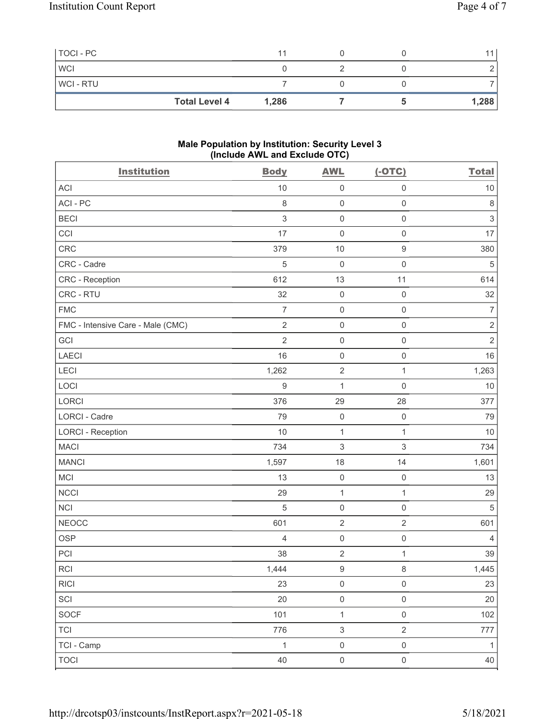| TOCI - PC  |                      | 11    |  |       |
|------------|----------------------|-------|--|-------|
| <b>WCI</b> |                      |       |  |       |
| WCI - RTU  |                      |       |  |       |
|            | <b>Total Level 4</b> | 1,286 |  | 1,288 |

### Male Population by Institution: Security Level 3 (Include AWL and Exclude OTC)

| <b>Institution</b>                | <b>Body</b>      | <b>AWL</b>          | $(-OTC)$            | <b>Total</b>   |
|-----------------------------------|------------------|---------------------|---------------------|----------------|
| <b>ACI</b>                        | 10               | $\mathsf{O}\xspace$ | $\mathsf{O}\xspace$ | $10$           |
| ACI-PC                            | $\,8\,$          | $\mathsf 0$         | $\mathsf 0$         | $\,8\,$        |
| <b>BECI</b>                       | $\mathfrak{S}$   | $\mathsf{O}\xspace$ | $\mathbf 0$         | $\,$ 3 $\,$    |
| CCI                               | 17               | $\mathsf 0$         | $\mathsf{O}\xspace$ | 17             |
| CRC                               | 379              | 10                  | $\boldsymbol{9}$    | 380            |
| CRC - Cadre                       | 5                | $\mathbf 0$         | $\mathbf 0$         | 5              |
| CRC - Reception                   | 612              | 13                  | 11                  | 614            |
| CRC - RTU                         | 32               | $\mathsf 0$         | $\mathsf{O}\xspace$ | 32             |
| <b>FMC</b>                        | $\overline{7}$   | $\mathsf{O}\xspace$ | $\mathsf{O}\xspace$ | 7              |
| FMC - Intensive Care - Male (CMC) | $\sqrt{2}$       | $\mathsf 0$         | $\mathsf 0$         | $\sqrt{2}$     |
| GCI                               | $\overline{2}$   | $\mathsf 0$         | $\mathsf 0$         | $\overline{2}$ |
| LAECI                             | 16               | $\mathsf 0$         | $\mathsf{O}\xspace$ | 16             |
| LECI                              | 1,262            | $\sqrt{2}$          | $\mathbf{1}$        | 1,263          |
| LOCI                              | $\boldsymbol{9}$ | $\mathbf{1}$        | $\mathsf{O}\xspace$ | 10             |
| LORCI                             | 376              | 29                  | 28                  | 377            |
| LORCI - Cadre                     | 79               | $\mathsf 0$         | $\mathsf{O}\xspace$ | 79             |
| <b>LORCI - Reception</b>          | $10$             | $\mathbf{1}$        | $\mathbf{1}$        | 10             |
| <b>MACI</b>                       | 734              | $\,$ 3 $\,$         | $\sqrt{3}$          | 734            |
| <b>MANCI</b>                      | 1,597            | 18                  | 14                  | 1,601          |
| MCI                               | 13               | $\mathsf{O}\xspace$ | $\mathsf{O}$        | 13             |
| <b>NCCI</b>                       | 29               | $\mathbf 1$         | $\mathbf{1}$        | 29             |
| <b>NCI</b>                        | $\sqrt{5}$       | $\mathsf 0$         | $\mathsf 0$         | $\sqrt{5}$     |
| <b>NEOCC</b>                      | 601              | $\sqrt{2}$          | $\sqrt{2}$          | 601            |
| <b>OSP</b>                        | $\overline{4}$   | $\mathsf{O}\xspace$ | $\mathsf 0$         | 4              |
| PCI                               | 38               | $\overline{2}$      | $\mathbf{1}$        | 39             |
| RCI                               | 1,444            | $\boldsymbol{9}$    | $\,8\,$             | 1,445          |
| RICI                              | 23               | $\mathsf{O}\xspace$ | $\mathsf{O}\xspace$ | 23             |
| SCI                               | 20               | $\mathsf{O}\xspace$ | $\mathsf{O}\xspace$ | 20             |
| SOCF                              | 101              | $\mathbf{1}$        | $\mathsf{O}\xspace$ | 102            |
| <b>TCI</b>                        | 776              | $\mathfrak{S}$      | $\overline{2}$      | 777            |
| TCI - Camp                        | $\mathbf{1}$     | $\mathsf{O}\xspace$ | $\mathsf{O}\xspace$ | $\mathbf{1}$   |
| <b>TOCI</b>                       | 40               | $\mathsf{O}\xspace$ | $\mathsf{O}\xspace$ | 40             |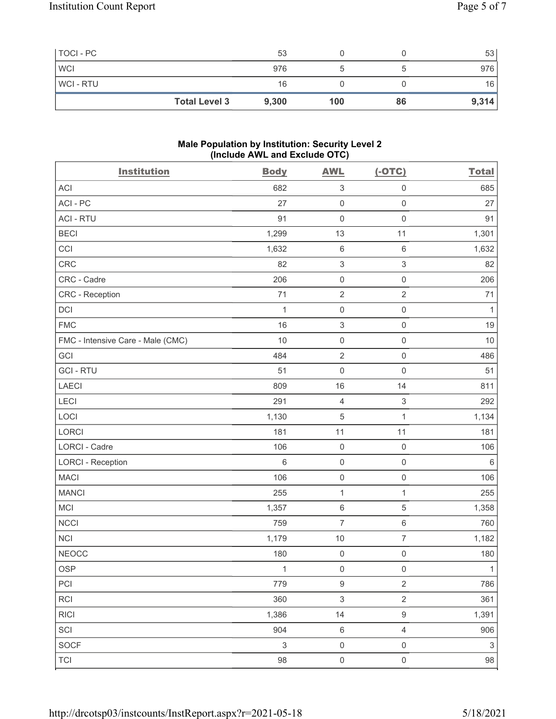| TOCI-PC        |                      | 53    |     |    | 53    |
|----------------|----------------------|-------|-----|----|-------|
| <b>WCI</b>     |                      | 976   |     |    | 976   |
| <b>WCI-RTU</b> |                      | 16    |     |    | 16    |
|                | <b>Total Level 3</b> | 9,300 | 100 | 86 | 9,314 |

#### Male Population by Institution: Security Level 2 (Include AWL and Exclude OTC)

| <b>Institution</b>                | <b>Body</b>               | <b>AWL</b>                | $(-OTC)$            | <b>Total</b> |
|-----------------------------------|---------------------------|---------------------------|---------------------|--------------|
| <b>ACI</b>                        | 682                       | $\ensuremath{\mathsf{3}}$ | $\mathsf{O}\xspace$ | 685          |
| ACI-PC                            | 27                        | $\mathsf{O}\xspace$       | $\mathsf{O}\xspace$ | 27           |
| <b>ACI - RTU</b>                  | 91                        | $\mathsf{O}\xspace$       | $\mathsf{O}\xspace$ | 91           |
| <b>BECI</b>                       | 1,299                     | 13                        | 11                  | 1,301        |
| CCI                               | 1,632                     | $\,6\,$                   | $\,6\,$             | 1,632        |
| CRC                               | 82                        | $\ensuremath{\mathsf{3}}$ | $\,$ 3 $\,$         | 82           |
| CRC - Cadre                       | 206                       | $\mathsf{O}\xspace$       | $\mathsf{O}\xspace$ | 206          |
| CRC - Reception                   | 71                        | $\sqrt{2}$                | $\sqrt{2}$          | 71           |
| DCI                               | $\mathbf{1}$              | $\mathsf{O}\xspace$       | $\mathsf{O}\xspace$ | 1            |
| <b>FMC</b>                        | 16                        | $\,$ 3 $\,$               | $\mathbf 0$         | 19           |
| FMC - Intensive Care - Male (CMC) | 10                        | $\mathsf 0$               | $\mathsf{O}\xspace$ | 10           |
| GCI                               | 484                       | $\sqrt{2}$                | $\mathsf{O}\xspace$ | 486          |
| <b>GCI-RTU</b>                    | 51                        | $\mathsf{O}\xspace$       | $\mathsf{O}\xspace$ | 51           |
| <b>LAECI</b>                      | 809                       | 16                        | 14                  | 811          |
| LECI                              | 291                       | $\sqrt{4}$                | $\sqrt{3}$          | 292          |
| LOCI                              | 1,130                     | $\mathbf 5$               | $\mathbf 1$         | 1,134        |
| LORCI                             | 181                       | 11                        | 11                  | 181          |
| LORCI - Cadre                     | 106                       | $\mathsf 0$               | $\mathsf{O}\xspace$ | 106          |
| <b>LORCI - Reception</b>          | 6                         | $\mathsf{O}\xspace$       | $\mathsf{O}\xspace$ | 6            |
| <b>MACI</b>                       | 106                       | $\mathsf{O}\xspace$       | $\mathsf{O}\xspace$ | 106          |
| <b>MANCI</b>                      | 255                       | $\mathbf{1}$              | $\mathbf 1$         | 255          |
| MCI                               | 1,357                     | $\,6\,$                   | $\mathbf 5$         | 1,358        |
| <b>NCCI</b>                       | 759                       | $\overline{7}$            | 6                   | 760          |
| <b>NCI</b>                        | 1,179                     | $10$                      | $\overline{7}$      | 1,182        |
| <b>NEOCC</b>                      | 180                       | $\mathsf{O}\xspace$       | $\mathsf{O}\xspace$ | 180          |
| OSP                               | $\mathbf{1}$              | $\mathsf{O}\xspace$       | $\mathsf{O}\xspace$ | $\mathbf{1}$ |
| PCI                               | 779                       | $\boldsymbol{9}$          | $\overline{2}$      | 786          |
| RCI                               | 360                       | $\ensuremath{\mathsf{3}}$ | $\overline{2}$      | 361          |
| <b>RICI</b>                       | 1,386                     | 14                        | $\boldsymbol{9}$    | 1,391        |
| SCI                               | 904                       | $\,6\,$                   | $\sqrt{4}$          | 906          |
| <b>SOCF</b>                       | $\ensuremath{\mathsf{3}}$ | $\mathsf{O}\xspace$       | $\mathsf 0$         | $\sqrt{3}$   |
| <b>TCI</b>                        | 98                        | $\mathsf{O}\xspace$       | $\mathsf{O}\xspace$ | $98\,$       |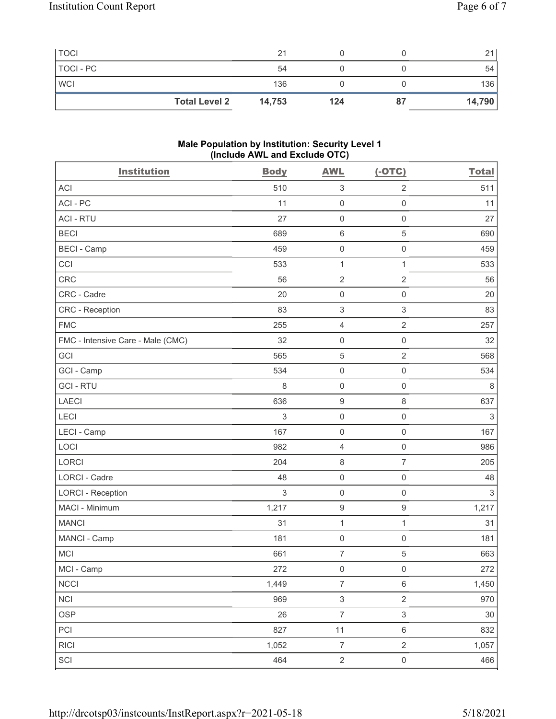| <b>TOCI</b> |                      | 21     |     |    | 21     |
|-------------|----------------------|--------|-----|----|--------|
| TOCI - PC   |                      | 54     |     |    | 54     |
| <b>WCI</b>  |                      | 136    |     |    | 136    |
|             | <b>Total Level 2</b> | 14,753 | 124 | 87 | 14,790 |

#### Male Population by Institution: Security Level 1 (Include AWL and Exclude OTC)

| <b>Institution</b>                | <b>Body</b> | <b>AWL</b>                | $(-OTC)$            | <b>Total</b> |
|-----------------------------------|-------------|---------------------------|---------------------|--------------|
| <b>ACI</b>                        | 510         | $\ensuremath{\mathsf{3}}$ | $\overline{2}$      | 511          |
| ACI-PC                            | 11          | $\mathbf 0$               | $\mathsf 0$         | 11           |
| <b>ACI - RTU</b>                  | 27          | $\mathsf{O}\xspace$       | $\mathsf{O}\xspace$ | 27           |
| <b>BECI</b>                       | 689         | $\,6\,$                   | $\mathbf 5$         | 690          |
| <b>BECI - Camp</b>                | 459         | $\mathbf 0$               | $\mathsf{O}\xspace$ | 459          |
| CCI                               | 533         | $\mathbf{1}$              | $\mathbf{1}$        | 533          |
| CRC                               | 56          | $\sqrt{2}$                | $\overline{2}$      | 56           |
| CRC - Cadre                       | 20          | $\mathsf 0$               | $\mathsf{O}\xspace$ | 20           |
| <b>CRC</b> - Reception            | 83          | $\ensuremath{\mathsf{3}}$ | 3                   | 83           |
| <b>FMC</b>                        | 255         | $\overline{4}$            | $\sqrt{2}$          | 257          |
| FMC - Intensive Care - Male (CMC) | 32          | $\mathsf{O}\xspace$       | $\mathsf{O}\xspace$ | 32           |
| GCI                               | 565         | $\mathbf 5$               | $\overline{2}$      | 568          |
| GCI - Camp                        | 534         | $\mathsf 0$               | $\mathsf{O}\xspace$ | 534          |
| <b>GCI-RTU</b>                    | 8           | $\mathbf 0$               | $\mathsf 0$         | 8            |
| LAECI                             | 636         | $\boldsymbol{9}$          | 8                   | 637          |
| LECI                              | 3           | $\mathbf 0$               | $\mathsf{O}\xspace$ | $\sqrt{3}$   |
| LECI - Camp                       | 167         | $\mathbf 0$               | $\mathsf 0$         | 167          |
| LOCI                              | 982         | $\overline{4}$            | $\mathsf{O}\xspace$ | 986          |
| LORCI                             | 204         | 8                         | $\overline{7}$      | 205          |
| LORCI - Cadre                     | 48          | $\mathsf 0$               | $\mathsf 0$         | 48           |
| <b>LORCI - Reception</b>          | $\sqrt{3}$  | $\mathbf 0$               | $\mathsf{O}\xspace$ | $\sqrt{3}$   |
| MACI - Minimum                    | 1,217       | $\boldsymbol{9}$          | $\boldsymbol{9}$    | 1,217        |
| <b>MANCI</b>                      | 31          | $\mathbf{1}$              | $\mathbf{1}$        | 31           |
| MANCI - Camp                      | 181         | $\mathbf 0$               | $\mathsf 0$         | 181          |
| <b>MCI</b>                        | 661         | $\overline{7}$            | 5                   | 663          |
| MCI - Camp                        | 272         | $\mathsf{O}\xspace$       | $\mathsf{O}\xspace$ | 272          |
| <b>NCCI</b>                       | 1,449       | $\overline{7}$            | $6\,$               | 1,450        |
| <b>NCI</b>                        | 969         | $\ensuremath{\mathsf{3}}$ | $\overline{2}$      | 970          |
| <b>OSP</b>                        | 26          | $\overline{7}$            | $\mathfrak{S}$      | $30\,$       |
| PCI                               | 827         | 11                        | $\,6$               | 832          |
| <b>RICI</b>                       | 1,052       | $\boldsymbol{7}$          | $\overline{2}$      | 1,057        |
| SCI                               | 464         | $\overline{2}$            | $\mathsf{O}\xspace$ | 466          |